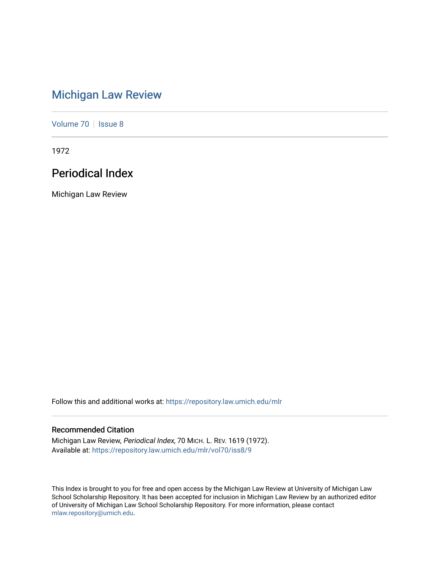# [Michigan Law Review](https://repository.law.umich.edu/mlr)

[Volume 70](https://repository.law.umich.edu/mlr/vol70) | [Issue 8](https://repository.law.umich.edu/mlr/vol70/iss8)

1972

# Periodical Index

Michigan Law Review

Follow this and additional works at: [https://repository.law.umich.edu/mlr](https://repository.law.umich.edu/mlr?utm_source=repository.law.umich.edu%2Fmlr%2Fvol70%2Fiss8%2F9&utm_medium=PDF&utm_campaign=PDFCoverPages) 

# Recommended Citation

Michigan Law Review, Periodical Index, 70 MICH. L. REV. 1619 (1972). Available at: [https://repository.law.umich.edu/mlr/vol70/iss8/9](https://repository.law.umich.edu/mlr/vol70/iss8/9?utm_source=repository.law.umich.edu%2Fmlr%2Fvol70%2Fiss8%2F9&utm_medium=PDF&utm_campaign=PDFCoverPages)

This Index is brought to you for free and open access by the Michigan Law Review at University of Michigan Law School Scholarship Repository. It has been accepted for inclusion in Michigan Law Review by an authorized editor of University of Michigan Law School Scholarship Repository. For more information, please contact [mlaw.repository@umich.edu.](mailto:mlaw.repository@umich.edu)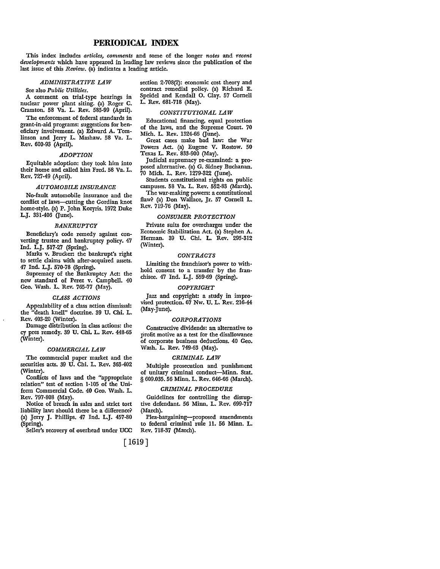# **PERIODICAL INDEX**

This index includes *articles, comments* and some of the longer *notes* and *recent developments* which have appeared in leading law reviews since the publication of the last issue of this *Review.* (a) indicates a leading article.

# *ADMINISTRATIVE LAW*

# See also *Public Utilities.*

A comment on trial-type hearings in nuclear power plant siting. (a) Roger C. Cramton. 58 Va. L. Rev. 585-99 (April).

The enforcement of federal standards in grant-in-aid programs: suggestions for beneficiary involvement. (a) Edward A. Tomlinson and Jerry L. Mashaw. 58 Va. L. Rev. 600-93 (April).

## *ADOPTION*

Equitable adoption: they took him into their home and called him Fred. 58 Va. L. Rev. 727-49 (April).

## *AUTOMOBILE INSURANCE*

No-fault automobile insurance and the conflict of laws-cutting the Gordian knot home-style. (a) P. John Kozyris. 1972 Duke L.J. 331-406 (June).

# *BANKRUPTCY*

Beneficiary's code remedy against converting trustee and bankruptcy policy. 47 Ind. L.J. 517-27 (Spring).

Marks v. Brucker: the bankrupt's right to settle claims with after-acquired assets. 47 Ind. L.J. 570-78 (Spring).

Supremacy of the Bankruptcy Act: the new standard of Perez v. Campbell. 40 Geo. Wash. L. Rev. 765-77 (May).

## *CLASS ACTIONS*

Appealability of a class action dismissal: the "death knell" doctrine. 39 U. Chi. L. Rev. 403-20 (Winter).

Damage distribution in class actions: the cy pres remedy. 39 U. Chi. L. Rev. 448-65 (Winter).

# *COMMERCIAL LAW*

The commercial paper market and the securities acts. 39 U. Chi. L. Rev. 363-402 (Winter).

Conflicts of laws and the "appropriate relation" test of section 1-105 of the Uniform Commercial Code. 40 Geo. Wash. L. Rev. 797-808 (May).

Notice of breach in sales and strict tort liability law: should there be a difference? (a) Jerry J. Phillips. 47 Ind. L.J. 457-80 (Spring).

Seller's recovery of overhead under UCC

section 2-708(2): economic cost theory and contract remedial policy. (a) Richard E. Speidel and Kendall O. Clay. 57 Cornell L. Rev. 681-718 (May).

# *CONSTITUTIONAL LAW*

Educational financing, equal protection of the laws, and the Supreme Court. 70 Mich. L. Rev. 1324-66 (June).

Great cases make bad law: the War Powers Act. (a) Eugene V. Rostow. 50 Texas L. Rev. 833-900 (May).

Judicial supremacy re-examined: a proposed alternative. (a) G. Sidney Buchanan. 70 Mich. L. Rev. 1279-322 (June).

Students constitutional rights on public campuses. 58 Va. L. Rev. 552-83 (March).

The war-making powers: a constitutional flaw? (a) Don Wallace, Jr. 57 Cornell L. Rev. 719-76 (May).

# *CONSUMER PROTECTION*

Private suits for overcharges under the Economic Stabilization Act. (a) Stephen A. Herman. 39 U. Chi. L. Rev. 295-312 (Winter).

#### *CONTRACTS*

Limiting the franchisor's power to withhold consent to a transfer by the franchisee. 47 Ind. L.J. 559-69 (Spring).

## *COPYRIGHT*

Jazz and copyright: a study in improvised protection. 67 Nw. U. L. Rev. 216-44 (May-June).

# *CORPORATIONS*

Constructive dividends: an alternative to profit motive as a test for the disallowance of corporate business deductions. 40 Geo. Wash. L. Rev. 749-63 (May).

## *CRIMINAL LAW*

Multiple prosecution and punishment of unitary criminal conduct-Minn. Stat. § 609.035. 56 Minn. L. Rev. 646-66 (March).

# *CRIMINAL PROCEDURE*

Guidelines for controlling the disruptive defendant. 56 Minn. L. Rev. 699-717 (March).

Plea-bargaining-proposed amendments to federal criminal rule 11. 56 Minn. L. Rev. 718-37 (March).

[ 1619]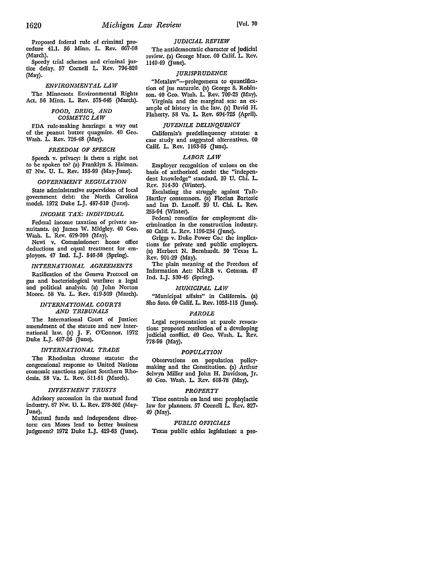Proposed federal rule of criminal procedure 41.1. 56 Minn. L. Rev. 667-98 (March).

Speedy trial schemes and criminal justice delay. 57 Cornell L. Rev. 794-826 (May).

# *ENVIRONMENTAL LAW*

The Minnesota Environmental Rights Act. 56 Minn. L. Rev. 575-645 (March).

# *FOOD, DRUG, AND COSMETIC LAW*

FDA rule-making hearings: a way out of the peanut butter quagmire. 40 Geo. Wash. L. Rev. 726-48 (May).

# *FREEDOM OF SPEECH*

Speech v. privacy: is there a right not to be spoken to? (a) Franklyn S. Haiman. 67 Nw. U. L. Rev, 153-99 (May-June).

# *GOVERNMENT REGULATION*

State administrative supervision of local government debt: the North Carolina model. 1972 Duke L.J. 487-510 (June).

# *INCOME TAX: INDIVIDUAL*

Federal income taxation of private annuitants. (a) James W. Midgley. 40 Geo. Wash. L. Rev. 679-708 (May).

Newi v. Commissioner: home office deductions and equal treatment for employees. 47 Ind. L.J. 546-58 (Spring).

# *INTERNATIONAL AGREEMENTS*

Ratification of the Geneva Protocol on gas and bacteriological warfare: a legal and political analysis. (a) John Norton Moore. 58 Va. L. Rev. 419-509 (March).

# *INTERNATIONAL COURTS AND TRIBUNALS*

The International Court of Justice: amendment of the statute and new inter• national law. (a) J. F. O'Connor. 1972 Duke L.J. 407-26 Gune).

# *INTERNATIONAL TRADE*

The Rhodesian chrome statute: the congressional response to United Nations economic sanctions against Southern Rhodesia. 58 Va. L. Rev. 511-51 (March).

# *INVESTMENT TRUSTS*

Advisory succession in the mutual fund industry. 67 Nw. U. L. Rev. 278-302 (May-June).

Mutual funds and independent directors: can Moses lead to better business judgment? 1972 Duke L.J. 429-63 Gune).

# *JUDICIAL REVIEW*

The antidemocratic character of judicial review. (a) George Mace. 60 Calif. L. Rev,  $1140-49$  (fune).

## *JURISPRUDENCE*

"Metalaw"-prolegomena to quantification of jus naturale. (a) George S. Robinson. 40 Geo. Wash. L. Rev. 709·23 (May), Virginia and the marginal sea: an example of history in the law, (a) David H, Flaherty. 58 Va. L. Rev. 694-725 (April),

## *JUVENILE DELINQUENCY*

California's predelinqucncy statute: a case study and suggested alternatives, 60 Calif. L. Rev. 1163-95 (June).

## *LABOR LAW*

Employer recognition of unions on the basis of authorized cards: the "indepcn• dent knowledge" standard, 39 U. Chi, L. Rev. 314-30 (Winter).

Escalating the struggle against Taft• Hartley contemnors. (a) Florian Bartosic and Ian D. Lanoff. 39 U. Chi. L. Rev. 255-94 (Winter).

Federal remedies for employment dis• crimination in the construction industry. 60 Calif. L. Rev. 1196-234 (June).

Griggs v. Duke Power Co,: the implica• tions for private and public employers. (a) Herbert N. Bernhardt. 50 Texas **L.**  Rev. 901-29 (May).

The plain meaning of the Freedom **of**  Information Act: NLRB v. Getman. 47 Ind. L.J. 530-45 (Spring).

# *MUNICIPAL LAW*

"Municipal affairs" in California. (a) Sho Sato. 60 Calif. L. Rev. 1055-115 (June).

#### *PAROLE*

Legal representation at parole revoca• tion: proposed resolution of a developing judicial conflict. 40 Geo. Wash. L. Rev. 778-96 (May).

# *POPULATION*

Observations on population policymaking and the Constitution. (a) Arthur Selwyn Miller and John H. Davidson, Jr. 40 Geo. Wash. L. Rev. 618-78 (May).

# *PROPERTY*

Time controls on land use: prophylactic law for planners. 57 Cornell L. Rev. 827• 49 (May).

# *PUBLIC OFFICIALS*

Texas public ethics legislation: a pro•